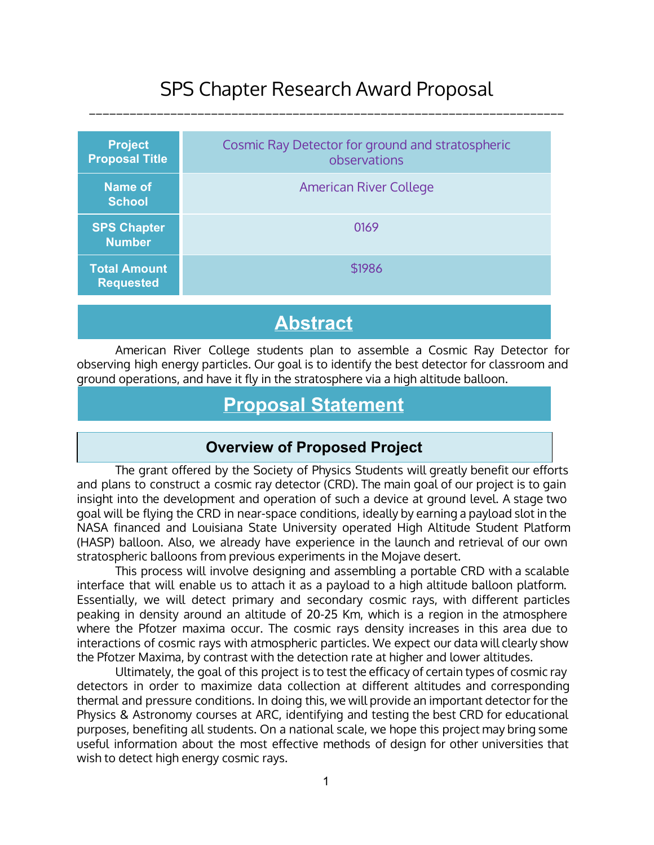## SPS Chapter Research Award Proposal \_\_\_\_\_\_\_\_\_\_\_\_\_\_\_\_\_\_\_\_\_\_\_\_\_\_\_\_\_\_\_\_\_\_\_\_\_\_\_\_\_\_\_\_\_\_\_\_\_\_\_\_\_\_\_\_\_\_\_\_\_\_\_\_\_\_\_\_\_\_

| Cosmic Ray Detector for ground and stratospheric<br>observations |
|------------------------------------------------------------------|
| <b>American River College</b>                                    |
| 0169                                                             |
| \$1986                                                           |
|                                                                  |

# **Abstract**

American River College students plan to assemble a Cosmic Ray Detector for observing high energy particles. Our goal is to identify the best detector for classroom and ground operations, and have it fly in the stratosphere via a high altitude balloon.

# **Proposal Statement**

#### **Overview of Proposed Project**

The grant offered by the Society of Physics Students will greatly benefit our efforts and plans to construct a cosmic ray detector (CRD). The main goal of our project is to gain insight into the development and operation of such a device at ground level. A stage two goal will be flying the CRD in near-space conditions, ideally by earning a payload slot in the NASA financed and Louisiana State University operated High Altitude Student Platform (HASP) balloon. Also, we already have experience in the launch and retrieval of our own stratospheric balloons from previous experiments in the Mojave desert.

This process will involve designing and assembling a portable CRD with a scalable interface that will enable us to attach it as a payload to a high altitude balloon platform. Essentially, we will detect primary and secondary cosmic rays, with different particles peaking in density around an altitude of 20-25 Km, which is a region in the atmosphere where the Pfotzer maxima occur. The cosmic rays density increases in this area due to interactions of cosmic rays with atmospheric particles. We expect our data will clearly show the Pfotzer Maxima, by contrast with the detection rate at higher and lower altitudes.

Ultimately, the goal of this project is to test the efficacy of certain types of cosmic ray detectors in order to maximize data collection at different altitudes and corresponding thermal and pressure conditions. In doing this, we will provide an important detector for the Physics & Astronomy courses at ARC, identifying and testing the best CRD for educational purposes, benefiting all students. On a national scale, we hope this project may bring some useful information about the most effective methods of design for other universities that wish to detect high energy cosmic rays.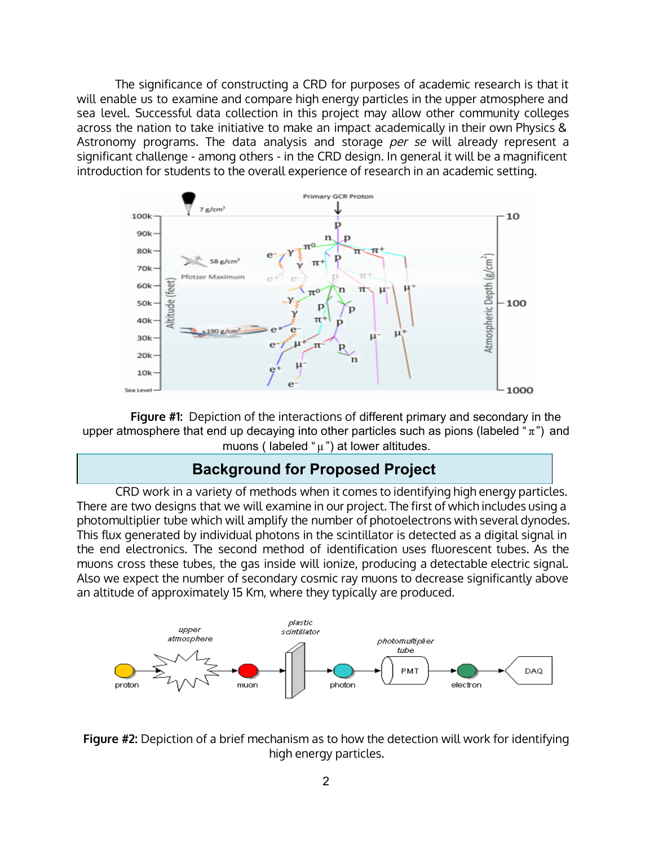The significance of constructing a CRD for purposes of academic research is that it will enable us to examine and compare high energy particles in the upper atmosphere and sea level. Successful data collection in this project may allow other community colleges across the nation to take initiative to make an impact academically in their own Physics & Astronomy programs. The data analysis and storage per se will already represent a significant challenge - among others - in the CRD design. In general it will be a magnificent introduction for students to the overall experience of research in an academic setting.



**Figure #1:** Depiction of the interactions of different primary and secondary in the upper atmosphere that end up decaying into other particles such as pions (labeled " $\pi$ ") and muons ( labeled " $\mu$ ") at lower altitudes.

#### **Background for Proposed Project**

CRD work in a variety of methods when it comes to identifying high energy particles. There are two designs that we will examine in our project. The first of which includes using a photomultiplier tube which will amplify the number of photoelectrons with several dynodes. This flux generated by individual photons in the scintillator is detected as a digital signal in the end electronics. The second method of identification uses fluorescent tubes. As the muons cross these tubes, the gas inside will ionize, producing a detectable electric signal. Also we expect the number of secondary cosmic ray muons to decrease significantly above an altitude of approximately 15 Km, where they typically are produced.



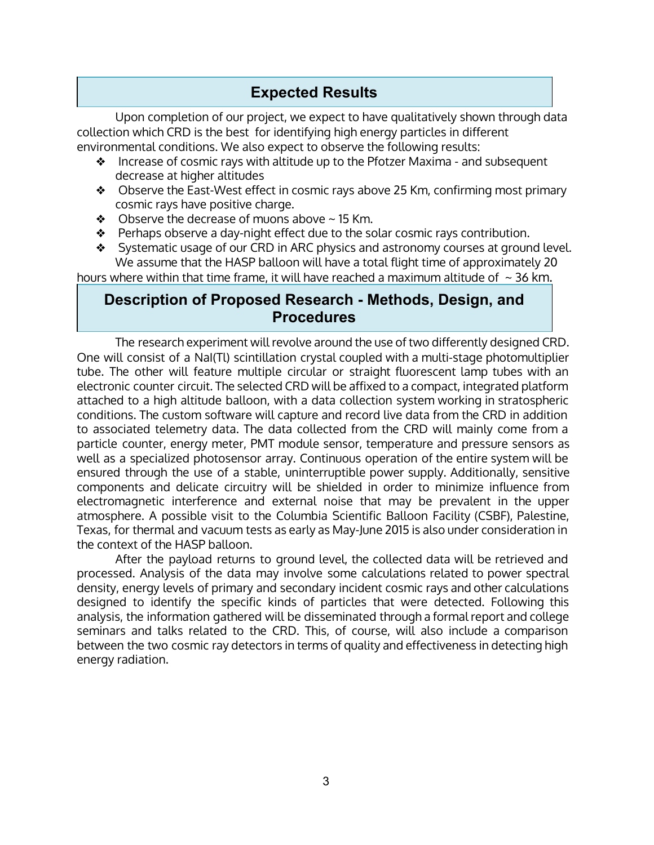## **Expected Results**

Upon completion of our project, we expect to have qualitatively shown through data collection which CRD is the best for identifying high energy particles in different environmental conditions. We also expect to observe the following results:

- ❖ Increase of cosmic rays with altitude up to the Pfotzer Maxima and subsequent decrease at higher altitudes
- ❖ Observe the East-West effect in cosmic rays above 25 Km, confirming most primary cosmic rays have positive charge.
- $\triangleleft$  Observe the decrease of muons above  $\sim$  15 Km.
- $\triangle$  Perhaps observe a day-night effect due to the solar cosmic rays contribution.
- ❖ Systematic usage of our CRD in ARC physics and astronomy courses at ground level. We assume that the HASP balloon will have a total flight time of approximately 20

hours where within that time frame, it will have reached a maximum altitude of  $\sim$  36 km.

#### **Description of Proposed Research Methods, Design, and Procedures**

The research experiment will revolve around the use of two differently designed CRD. One will consist of a NaI(Tl) scintillation crystal coupled with a multi-stage photomultiplier tube. The other will feature multiple circular or straight fluorescent lamp tubes with an electronic counter circuit. The selected CRD will be affixed to a compact, integrated platform attached to a high altitude balloon, with a data collection system working in stratospheric conditions. The custom software will capture and record live data from the CRD in addition to associated telemetry data. The data collected from the CRD will mainly come from a particle counter, energy meter, PMT module sensor, temperature and pressure sensors as well as a specialized photosensor array. Continuous operation of the entire system will be ensured through the use of a stable, uninterruptible power supply. Additionally, sensitive components and delicate circuitry will be shielded in order to minimize influence from electromagnetic interference and external noise that may be prevalent in the upper atmosphere. A possible visit to the Columbia Scientific Balloon Facility (CSBF), Palestine, Texas, for thermal and vacuum tests as early as May-June 2015 is also under consideration in the context of the HASP balloon.

After the payload returns to ground level, the collected data will be retrieved and processed. Analysis of the data may involve some calculations related to power spectral density, energy levels of primary and secondary incident cosmic rays and other calculations designed to identify the specific kinds of particles that were detected. Following this analysis, the information gathered will be disseminated through a formal report and college seminars and talks related to the CRD. This, of course, will also include a comparison between the two cosmic ray detectors in terms of quality and effectiveness in detecting high energy radiation.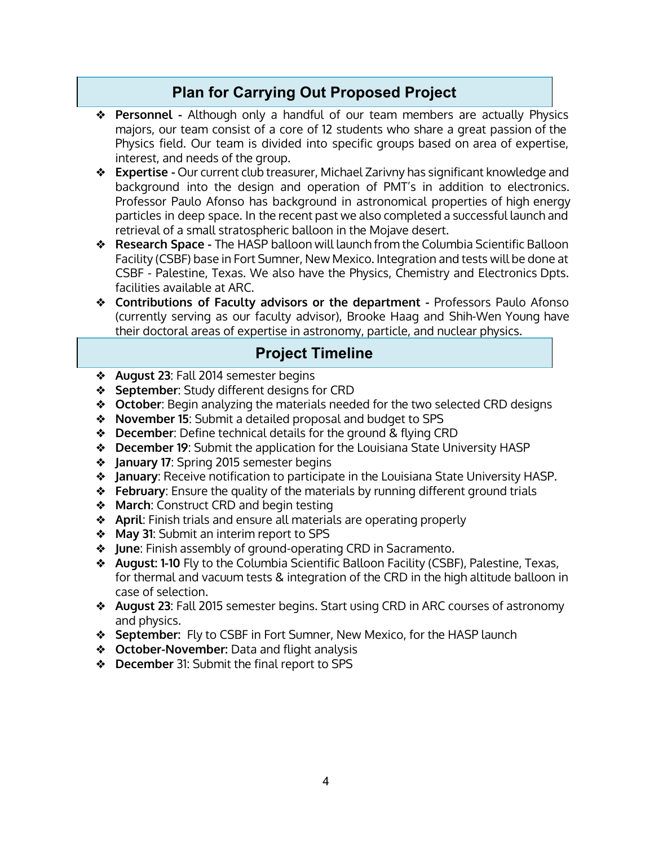## **Plan for Carrying Out Proposed Project**

- ❖ **Personnel -** Although only a handful of our team members are actually Physics majors, our team consist of a core of 12 students who share a great passion of the Physics field. Our team is divided into specific groups based on area of expertise, interest, and needs of the group.
- ❖ **Expertise -** Our current club treasurer, Michael Zarivny has significant knowledge and background into the design and operation of PMT's in addition to electronics. Professor Paulo Afonso has background in astronomical properties of high energy particles in deep space. In the recent past we also completed a successful launch and retrieval of a small stratospheric balloon in the Mojave desert.
- ❖ **Research Space -** The HASP balloon will launch from the Columbia Scientific Balloon Facility (CSBF) base in Fort Sumner, New Mexico. Integration and tests will be done at CSBF - Palestine, Texas. We also have the Physics, Chemistry and Electronics Dpts. facilities available at ARC.
- ❖ **Contributions of Faculty advisors or the department -** Professors Paulo Afonso (currently serving as our faculty advisor), Brooke Haag and Shih-Wen Young have their doctoral areas of expertise in astronomy, particle, and nuclear physics.

#### **Project Timeline**

- ❖ **August 23**: Fall 2014 semester begins
- ❖ **September**: Study different designs for CRD
- ❖ **October**: Begin analyzing the materials needed for the two selected CRD designs
- ❖ **November 15**: Submit a detailed proposal and budget to SPS
- ❖ **December**: Define technical details for the ground & flying CRD
- ❖ **December 19**: Submit the application for the Louisiana State University HASP
- ❖ **January 17**: Spring 2015 semester begins
- ❖ **January**: Receive notification to participate in the Louisiana State University HASP.
- ❖ **February**: Ensure the quality of the materials by running different ground trials
- ❖ **March**: Construct CRD and begin testing
- ❖ **April**: Finish trials and ensure all materials are operating properly
- ❖ **May 31**: Submit an interim report to SPS
- ❖ **June**: Finish assembly of ground-operating CRD in Sacramento.
- ❖ **August: 1-10** Fly to the Columbia Scientific Balloon Facility (CSBF), Palestine, Texas, for thermal and vacuum tests & integration of the CRD in the high altitude balloon in case of selection.
- ❖ **August 23**: Fall 2015 semester begins. Start using CRD in ARC courses of astronomy and physics.
- ❖ **September:** Fly to CSBF in Fort Sumner, New Mexico, for the HASP launch
- ❖ **October-November:** Data and flight analysis
- ❖ **December** 31: Submit the final report to SPS